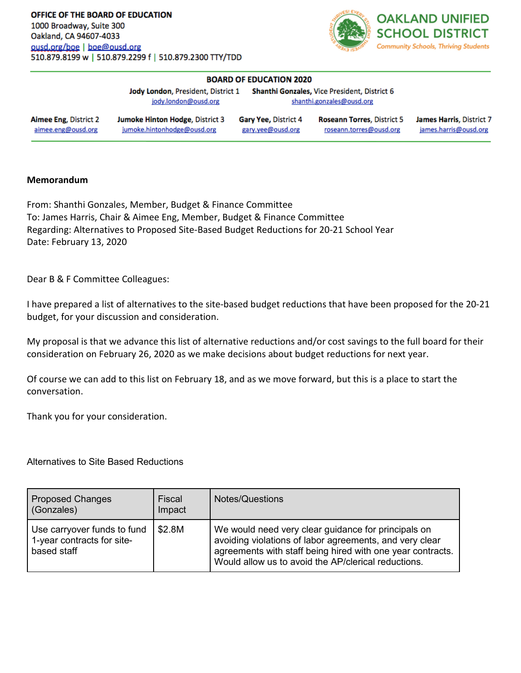

| <b>BOARD OF EDUCATION 2020</b>                     |                                                                       |                                           |                                                              |                                                   |  |
|----------------------------------------------------|-----------------------------------------------------------------------|-------------------------------------------|--------------------------------------------------------------|---------------------------------------------------|--|
|                                                    | Jody London, President, District 1                                    |                                           | <b>Shanthi Gonzales, Vice President, District 6</b>          |                                                   |  |
|                                                    | jody.london@ousd.org                                                  | shanthi.gonzales@ousd.org                 |                                                              |                                                   |  |
| <b>Aimee Eng. District 2</b><br>aimee.eng@ousd.org | <b>Jumoke Hinton Hodge, District 3</b><br>jumoke.hintonhodge@ousd.org | Gary Yee, District 4<br>gary.yee@ousd.org | <b>Roseann Torres, District 5</b><br>roseann.torres@ousd.org | James Harris, District 7<br>james.harris@ousd.org |  |

## **Memorandum**

From: Shanthi Gonzales, Member, Budget & Finance Committee To: James Harris, Chair & Aimee Eng, Member, Budget & Finance Committee Regarding: Alternatives to Proposed Site-Based Budget Reductions for 20-21 School Year Date: February 13, 2020

Dear B & F Committee Colleagues:

I have prepared a list of alternatives to the site-based budget reductions that have been proposed for the 20-21 budget, for your discussion and consideration.

My proposal is that we advance this list of alternative reductions and/or cost savings to the full board for their consideration on February 26, 2020 as we make decisions about budget reductions for next year.

Of course we can add to this list on February 18, and as we move forward, but this is a place to start the conversation.

Thank you for your consideration.

Alternatives to Site Based Reductions

| <b>Proposed Changes</b><br>(Gonzales)                                    | Fiscal<br>Impact | <b>Notes/Questions</b>                                                                                                                                                                                                              |
|--------------------------------------------------------------------------|------------------|-------------------------------------------------------------------------------------------------------------------------------------------------------------------------------------------------------------------------------------|
| Use carryover funds to fund<br>1-year contracts for site-<br>based staff | \$2.8M           | We would need very clear guidance for principals on<br>avoiding violations of labor agreements, and very clear<br>agreements with staff being hired with one year contracts.<br>Would allow us to avoid the AP/clerical reductions. |